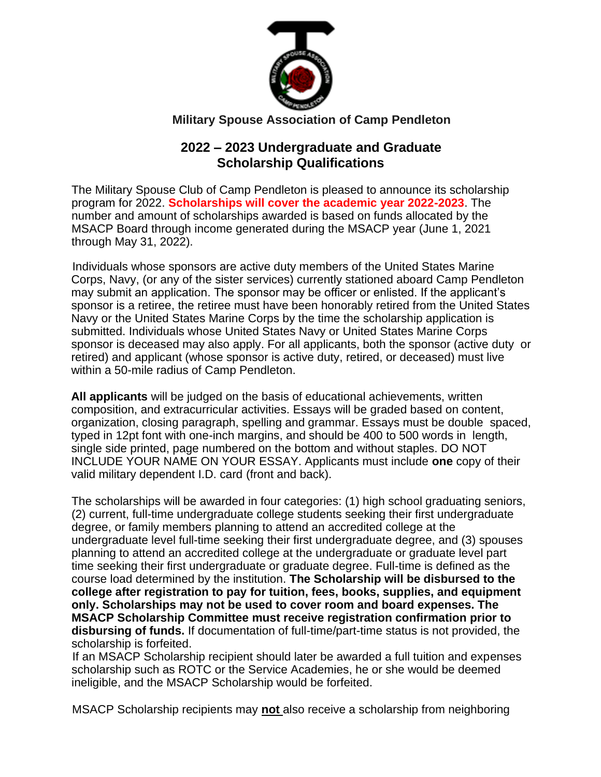

# **Military Spouse Association of Camp Pendleton**

# **2022 – 2023 Undergraduate and Graduate Scholarship Qualifications**

The Military Spouse Club of Camp Pendleton is pleased to announce its scholarship program for 2022. **Scholarships will cover the academic year 2022-2023**. The number and amount of scholarships awarded is based on funds allocated by the MSACP Board through income generated during the MSACP year (June 1, 2021 through May 31, 2022).

Individuals whose sponsors are active duty members of the United States Marine Corps, Navy, (or any of the sister services) currently stationed aboard Camp Pendleton may submit an application. The sponsor may be officer or enlisted. If the applicant's sponsor is a retiree, the retiree must have been honorably retired from the United States Navy or the United States Marine Corps by the time the scholarship application is submitted. Individuals whose United States Navy or United States Marine Corps sponsor is deceased may also apply. For all applicants, both the sponsor (active duty or retired) and applicant (whose sponsor is active duty, retired, or deceased) must live within a 50-mile radius of Camp Pendleton.

**All applicants** will be judged on the basis of educational achievements, written composition, and extracurricular activities. Essays will be graded based on content, organization, closing paragraph, spelling and grammar. Essays must be double spaced, typed in 12pt font with one-inch margins, and should be 400 to 500 words in length, single side printed, page numbered on the bottom and without staples. DO NOT INCLUDE YOUR NAME ON YOUR ESSAY. Applicants must include **one** copy of their valid military dependent I.D. card (front and back).

The scholarships will be awarded in four categories: (1) high school graduating seniors, (2) current, full-time undergraduate college students seeking their first undergraduate degree, or family members planning to attend an accredited college at the undergraduate level full-time seeking their first undergraduate degree, and (3) spouses planning to attend an accredited college at the undergraduate or graduate level part time seeking their first undergraduate or graduate degree. Full-time is defined as the course load determined by the institution. **The Scholarship will be disbursed to the college after registration to pay for tuition, fees, books, supplies, and equipment only. Scholarships may not be used to cover room and board expenses. The MSACP Scholarship Committee must receive registration confirmation prior to disbursing of funds.** If documentation of full-time/part-time status is not provided, the scholarship is forfeited.

If an MSACP Scholarship recipient should later be awarded a full tuition and expenses scholarship such as ROTC or the Service Academies, he or she would be deemed ineligible, and the MSACP Scholarship would be forfeited.

MSACP Scholarship recipients may **not** also receive a scholarship from neighboring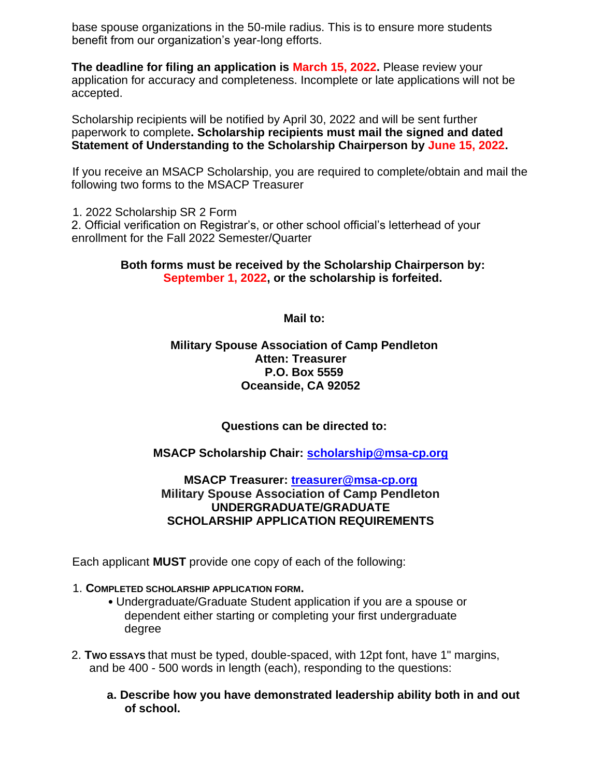base spouse organizations in the 50-mile radius. This is to ensure more students benefit from our organization's year-long efforts.

**The deadline for filing an application is March 15, 2022.** Please review your application for accuracy and completeness. Incomplete or late applications will not be accepted.

Scholarship recipients will be notified by April 30, 2022 and will be sent further paperwork to complete**. Scholarship recipients must mail the signed and dated Statement of Understanding to the Scholarship Chairperson by June 15, 2022.** 

If you receive an MSACP Scholarship, you are required to complete/obtain and mail the following two forms to the MSACP Treasurer

1. 2022 Scholarship SR 2 Form

2. Official verification on Registrar's, or other school official's letterhead of your enrollment for the Fall 2022 Semester/Quarter

#### **Both forms must be received by the Scholarship Chairperson by: September 1, 2022, or the scholarship is forfeited.**

**Mail to:** 

### **Military Spouse Association of Camp Pendleton Atten: Treasurer P.O. Box 5559 Oceanside, CA 92052**

**Questions can be directed to:** 

## **MSACP Scholarship Chair: scholarship@msa-cp.org**

### **MSACP Treasurer: treasurer@msa-cp.org Military Spouse Association of Camp Pendleton UNDERGRADUATE/GRADUATE SCHOLARSHIP APPLICATION REQUIREMENTS**

Each applicant **MUST** provide one copy of each of the following:

#### 1. **COMPLETED SCHOLARSHIP APPLICATION FORM.**

- Undergraduate/Graduate Student application if you are a spouse or dependent either starting or completing your first undergraduate degree
- 2. **TWO ESSAYS** that must be typed, double-spaced, with 12pt font, have 1" margins, and be 400 - 500 words in length (each), responding to the questions:
	- **a. Describe how you have demonstrated leadership ability both in and out of school.**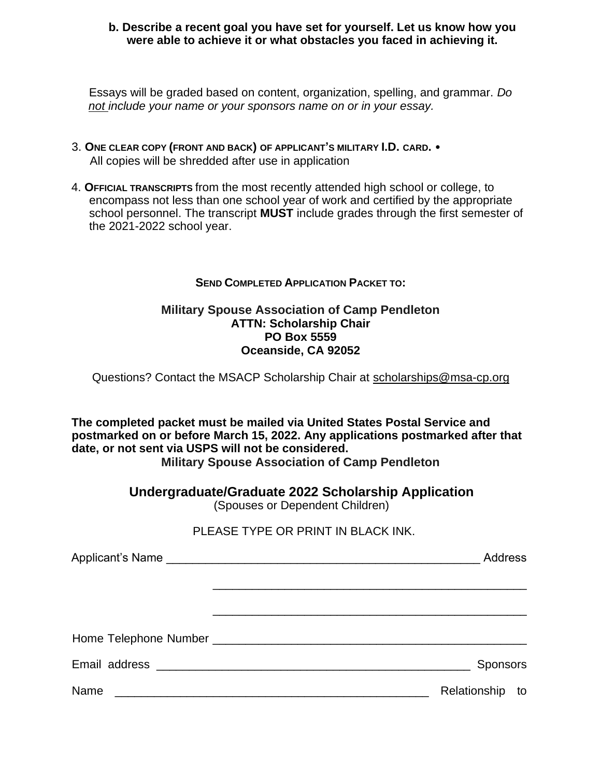#### **b. Describe a recent goal you have set for yourself. Let us know how you were able to achieve it or what obstacles you faced in achieving it.**

Essays will be graded based on content, organization, spelling, and grammar. *Do not include your name or your sponsors name on or in your essay.* 

- 3. **ONE CLEAR COPY (FRONT AND BACK) OF APPLICANT'S MILITARY I.D. CARD.**  All copies will be shredded after use in application
- 4. **OFFICIAL TRANSCRIPTS** from the most recently attended high school or college, to encompass not less than one school year of work and certified by the appropriate school personnel. The transcript **MUST** include grades through the first semester of the 2021-2022 school year.

### **SEND COMPLETED APPLICATION PACKET TO:**

### **Military Spouse Association of Camp Pendleton ATTN: Scholarship Chair PO Box 5559 Oceanside, CA 92052**

Questions? Contact the MSACP Scholarship Chair at scholarships@msa-cp.org

**The completed packet must be mailed via United States Postal Service and postmarked on or before March 15, 2022. Any applications postmarked after that date, or not sent via USPS will not be considered. Military Spouse Association of Camp Pendleton** 

**Undergraduate/Graduate 2022 Scholarship Application** 

(Spouses or Dependent Children)

### PLEASE TYPE OR PRINT IN BLACK INK.

|      | Address            |
|------|--------------------|
|      |                    |
|      |                    |
|      |                    |
|      | <b>Sponsors</b>    |
| Name | Relationship<br>to |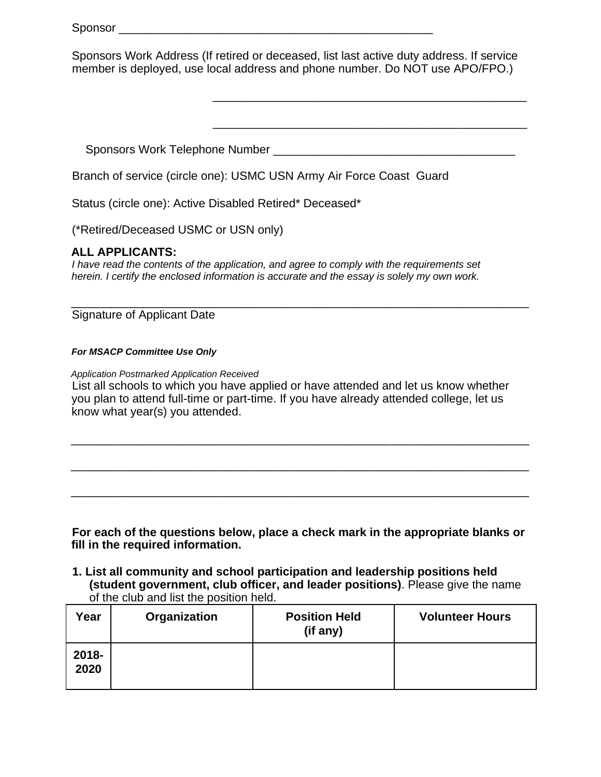Sponsors Work Address (If retired or deceased, list last active duty address. If service member is deployed, use local address and phone number. Do NOT use APO/FPO.)

\_\_\_\_\_\_\_\_\_\_\_\_\_\_\_\_\_\_\_\_\_\_\_\_\_\_\_\_\_\_\_\_\_\_\_\_\_\_\_\_\_\_\_\_\_\_\_\_

\_\_\_\_\_\_\_\_\_\_\_\_\_\_\_\_\_\_\_\_\_\_\_\_\_\_\_\_\_\_\_\_\_\_\_\_\_\_\_\_\_\_\_\_\_\_\_\_

Sponsors Work Telephone Number \_\_\_\_\_\_\_\_\_\_\_\_\_\_\_\_\_\_\_\_\_\_\_\_\_\_\_\_\_\_\_\_\_\_\_\_\_

Branch of service (circle one): USMC USN Army Air Force Coast Guard

Status (circle one): Active Disabled Retired\* Deceased\*

(\*Retired/Deceased USMC or USN only)

#### **ALL APPLICANTS:**

*I* have read the contents of the application, and agree to comply with the requirements set *herein. I certify the enclosed information is accurate and the essay is solely my own work.* 

Signature of Applicant Date

#### *For MSACP Committee Use Only*

*Application Postmarked Application Received* List all schools to which you have applied or have attended and let us know whether you plan to attend full-time or part-time. If you have already attended college, let us know what year(s) you attended.

\_\_\_\_\_\_\_\_\_\_\_\_\_\_\_\_\_\_\_\_\_\_\_\_\_\_\_\_\_\_\_\_\_\_\_\_\_\_\_\_\_\_\_\_\_\_\_\_\_\_\_\_\_\_\_\_\_\_\_\_\_\_\_\_\_\_\_\_\_\_

\_\_\_\_\_\_\_\_\_\_\_\_\_\_\_\_\_\_\_\_\_\_\_\_\_\_\_\_\_\_\_\_\_\_\_\_\_\_\_\_\_\_\_\_\_\_\_\_\_\_\_\_\_\_\_\_\_\_\_\_\_\_\_\_\_\_\_\_\_\_

\_\_\_\_\_\_\_\_\_\_\_\_\_\_\_\_\_\_\_\_\_\_\_\_\_\_\_\_\_\_\_\_\_\_\_\_\_\_\_\_\_\_\_\_\_\_\_\_\_\_\_\_\_\_\_\_\_\_\_\_\_\_\_\_\_\_\_\_\_\_

\_\_\_\_\_\_\_\_\_\_\_\_\_\_\_\_\_\_\_\_\_\_\_\_\_\_\_\_\_\_\_\_\_\_\_\_\_\_\_\_\_\_\_\_\_\_\_\_\_\_\_\_\_\_\_\_\_\_\_\_\_\_\_\_\_\_\_\_\_\_

**For each of the questions below, place a check mark in the appropriate blanks or fill in the required information.** 

#### **1. List all community and school participation and leadership positions held (student government, club officer, and leader positions)**. Please give the name of the club and list the position held.

| Year             | Organization | <b>Position Held</b><br>(if any) | <b>Volunteer Hours</b> |
|------------------|--------------|----------------------------------|------------------------|
| $2018 -$<br>2020 |              |                                  |                        |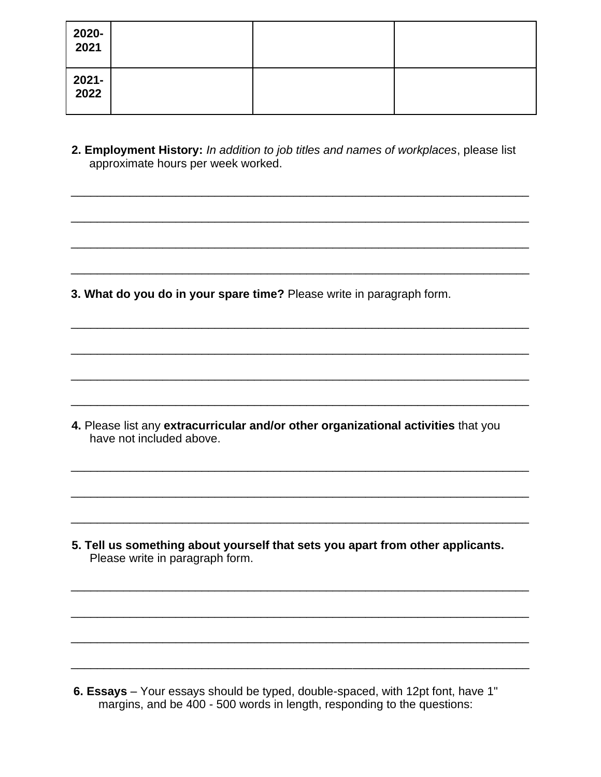| 2020-<br>2021 |  |  |
|---------------|--|--|
| 2021-<br>2022 |  |  |

2. Employment History: In addition to job titles and names of workplaces, please list approximate hours per week worked.

3. What do you do in your spare time? Please write in paragraph form.

4. Please list any extracurricular and/or other organizational activities that you have not included above.

5. Tell us something about yourself that sets you apart from other applicants. Please write in paragraph form.

6. Essays - Your essays should be typed, double-spaced, with 12pt font, have 1" margins, and be 400 - 500 words in length, responding to the questions: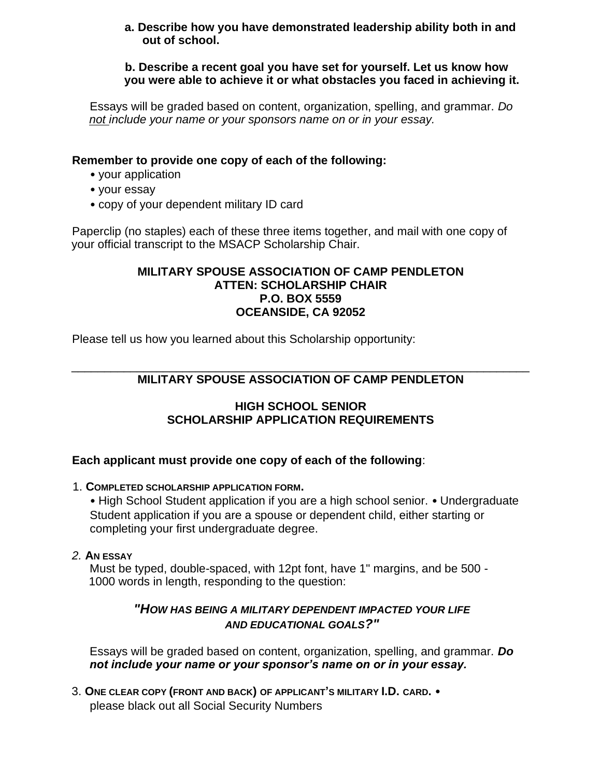#### **a. Describe how you have demonstrated leadership ability both in and out of school.**

#### **b. Describe a recent goal you have set for yourself. Let us know how you were able to achieve it or what obstacles you faced in achieving it.**

Essays will be graded based on content, organization, spelling, and grammar. *Do not include your name or your sponsors name on or in your essay.* 

### **Remember to provide one copy of each of the following:**

- your application
- your essay
- copy of your dependent military ID card

Paperclip (no staples) each of these three items together, and mail with one copy of your official transcript to the MSACP Scholarship Chair.

### **MILITARY SPOUSE ASSOCIATION OF CAMP PENDLETON ATTEN: SCHOLARSHIP CHAIR P.O. BOX 5559 OCEANSIDE, CA 92052**

Please tell us how you learned about this Scholarship opportunity:

#### \_\_\_\_\_\_\_\_\_\_\_\_\_\_\_\_\_\_\_\_\_\_\_\_\_\_\_\_\_\_\_\_\_\_\_\_\_\_\_\_\_\_\_\_\_\_\_\_\_\_\_\_\_\_\_\_\_\_\_\_\_\_\_\_\_\_\_\_\_\_ **MILITARY SPOUSE ASSOCIATION OF CAMP PENDLETON**

### **HIGH SCHOOL SENIOR SCHOLARSHIP APPLICATION REQUIREMENTS**

## **Each applicant must provide one copy of each of the following**:

### 1. **COMPLETED SCHOLARSHIP APPLICATION FORM.**

• High School Student application if you are a high school senior. • Undergraduate Student application if you are a spouse or dependent child, either starting or completing your first undergraduate degree.

#### *2.* **AN ESSAY**

Must be typed, double-spaced, with 12pt font, have 1" margins, and be 500 - 1000 words in length, responding to the question:

## *"HOW HAS BEING A MILITARY DEPENDENT IMPACTED YOUR LIFE AND EDUCATIONAL GOALS?"*

Essays will be graded based on content, organization, spelling, and grammar*. Do not include your name or your sponsor's name on or in your essay.* 

3. **ONE CLEAR COPY (FRONT AND BACK) OF APPLICANT'S MILITARY I.D. CARD.** • please black out all Social Security Numbers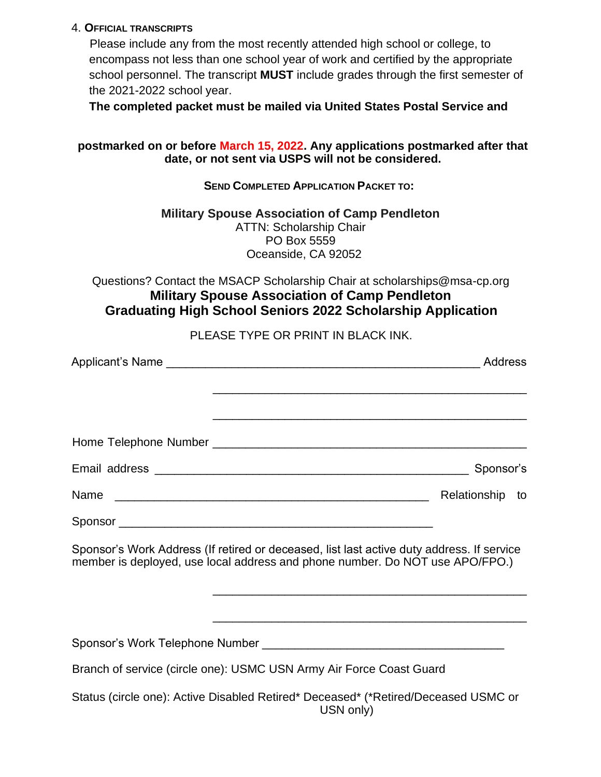#### 4. **OFFICIAL TRANSCRIPTS**

Please include any from the most recently attended high school or college, to encompass not less than one school year of work and certified by the appropriate school personnel. The transcript **MUST** include grades through the first semester of the 2021-2022 school year.

**The completed packet must be mailed via United States Postal Service and** 

### **postmarked on or before March 15, 2022. Any applications postmarked after that date, or not sent via USPS will not be considered.**

### **SEND COMPLETED APPLICATION PACKET TO:**

#### **Military Spouse Association of Camp Pendleton**  ATTN: Scholarship Chair PO Box 5559 Oceanside, CA 92052

Questions? Contact the MSACP Scholarship Chair at scholarships@msa-cp.org **Military Spouse Association of Camp Pendleton Graduating High School Seniors 2022 Scholarship Application** 

PLEASE TYPE OR PRINT IN BLACK INK.

|                                                                                                                                                                           | Address         |
|---------------------------------------------------------------------------------------------------------------------------------------------------------------------------|-----------------|
|                                                                                                                                                                           |                 |
|                                                                                                                                                                           |                 |
|                                                                                                                                                                           | Sponsor's       |
|                                                                                                                                                                           | Relationship to |
|                                                                                                                                                                           |                 |
| Sponsor's Work Address (If retired or deceased, list last active duty address. If service<br>member is deployed, use local address and phone number. Do NOT use APO/FPO.) |                 |
|                                                                                                                                                                           |                 |
|                                                                                                                                                                           |                 |
| Branch of service (circle one): USMC USN Army Air Force Coast Guard                                                                                                       |                 |
| Status (circle one): Active Disabled Retired* Deceased* (*Retired/Deceased USMC or<br>USN only)                                                                           |                 |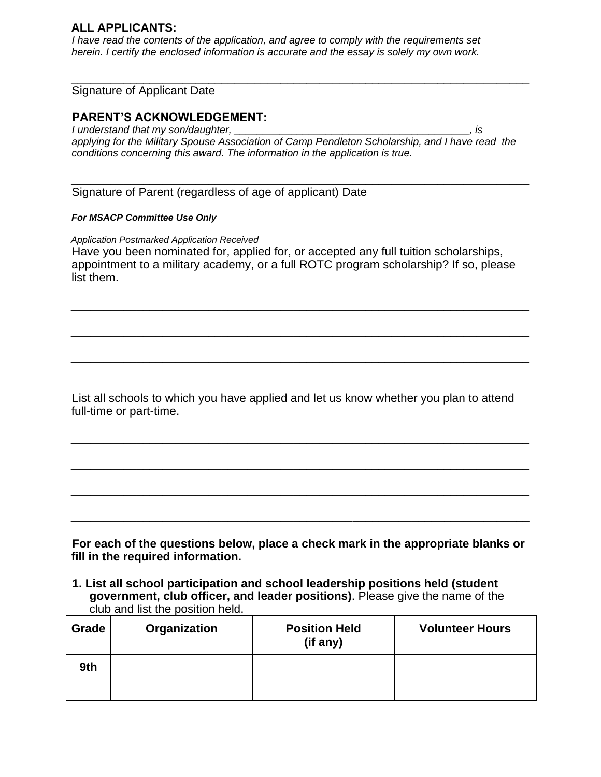#### **ALL APPLICANTS:**

*I* have read the contents of the application, and agree to comply with the requirements set *herein. I certify the enclosed information is accurate and the essay is solely my own work.* 

#### Signature of Applicant Date

#### **PARENT'S ACKNOWLEDGEMENT:**

*I understand that my son/daughter, \_\_\_\_\_\_\_\_\_\_\_\_\_\_\_\_\_\_\_\_\_\_\_\_\_\_\_\_\_\_\_\_\_\_\_\_\_\_\_\_\_, is applying for the Military Spouse Association of Camp Pendleton Scholarship, and I have read the conditions concerning this award. The information in the application is true.*

\_\_\_\_\_\_\_\_\_\_\_\_\_\_\_\_\_\_\_\_\_\_\_\_\_\_\_\_\_\_\_\_\_\_\_\_\_\_\_\_\_\_\_\_\_\_\_\_\_\_\_\_\_\_\_\_\_\_\_\_\_\_\_\_\_\_\_\_\_\_

\_\_\_\_\_\_\_\_\_\_\_\_\_\_\_\_\_\_\_\_\_\_\_\_\_\_\_\_\_\_\_\_\_\_\_\_\_\_\_\_\_\_\_\_\_\_\_\_\_\_\_\_\_\_\_\_\_\_\_\_\_\_\_\_\_\_\_\_\_\_

Signature of Parent (regardless of age of applicant) Date

#### *For MSACP Committee Use Only*

*Application Postmarked Application Received* Have you been nominated for, applied for, or accepted any full tuition scholarships, appointment to a military academy, or a full ROTC program scholarship? If so, please list them.

\_\_\_\_\_\_\_\_\_\_\_\_\_\_\_\_\_\_\_\_\_\_\_\_\_\_\_\_\_\_\_\_\_\_\_\_\_\_\_\_\_\_\_\_\_\_\_\_\_\_\_\_\_\_\_\_\_\_\_\_\_\_\_\_\_\_\_\_\_\_

\_\_\_\_\_\_\_\_\_\_\_\_\_\_\_\_\_\_\_\_\_\_\_\_\_\_\_\_\_\_\_\_\_\_\_\_\_\_\_\_\_\_\_\_\_\_\_\_\_\_\_\_\_\_\_\_\_\_\_\_\_\_\_\_\_\_\_\_\_\_

\_\_\_\_\_\_\_\_\_\_\_\_\_\_\_\_\_\_\_\_\_\_\_\_\_\_\_\_\_\_\_\_\_\_\_\_\_\_\_\_\_\_\_\_\_\_\_\_\_\_\_\_\_\_\_\_\_\_\_\_\_\_\_\_\_\_\_\_\_\_

List all schools to which you have applied and let us know whether you plan to attend full-time or part-time.

\_\_\_\_\_\_\_\_\_\_\_\_\_\_\_\_\_\_\_\_\_\_\_\_\_\_\_\_\_\_\_\_\_\_\_\_\_\_\_\_\_\_\_\_\_\_\_\_\_\_\_\_\_\_\_\_\_\_\_\_\_\_\_\_\_\_\_\_\_\_

\_\_\_\_\_\_\_\_\_\_\_\_\_\_\_\_\_\_\_\_\_\_\_\_\_\_\_\_\_\_\_\_\_\_\_\_\_\_\_\_\_\_\_\_\_\_\_\_\_\_\_\_\_\_\_\_\_\_\_\_\_\_\_\_\_\_\_\_\_\_

\_\_\_\_\_\_\_\_\_\_\_\_\_\_\_\_\_\_\_\_\_\_\_\_\_\_\_\_\_\_\_\_\_\_\_\_\_\_\_\_\_\_\_\_\_\_\_\_\_\_\_\_\_\_\_\_\_\_\_\_\_\_\_\_\_\_\_\_\_\_

\_\_\_\_\_\_\_\_\_\_\_\_\_\_\_\_\_\_\_\_\_\_\_\_\_\_\_\_\_\_\_\_\_\_\_\_\_\_\_\_\_\_\_\_\_\_\_\_\_\_\_\_\_\_\_\_\_\_\_\_\_\_\_\_\_\_\_\_\_\_

**For each of the questions below, place a check mark in the appropriate blanks or fill in the required information.** 

**1. List all school participation and school leadership positions held (student government, club officer, and leader positions)**. Please give the name of the club and list the position held.

| Grade | Organization | <b>Position Held</b><br>(if any) | <b>Volunteer Hours</b> |
|-------|--------------|----------------------------------|------------------------|
| 9th   |              |                                  |                        |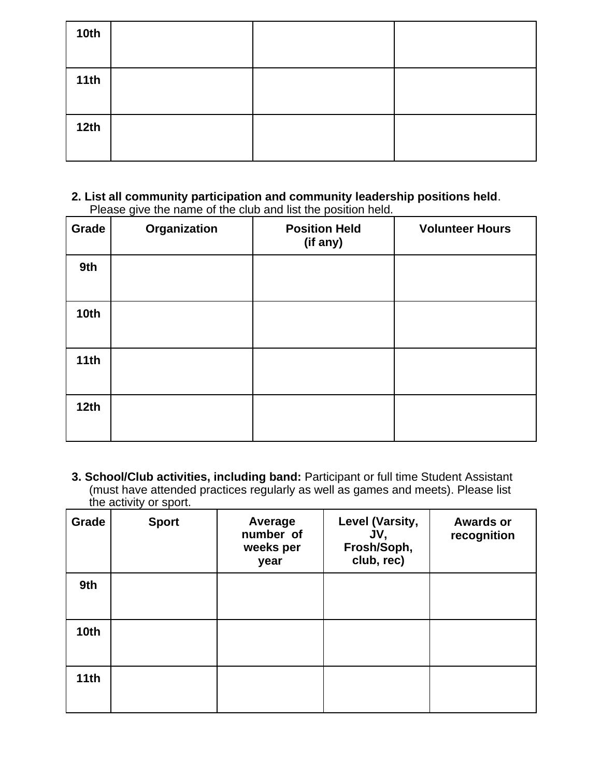| <b>10th</b> |  |  |
|-------------|--|--|
| 11th        |  |  |
| 12th        |  |  |

#### **2. List all community participation and community leadership positions held**. Please give the name of the club and list the position held.

| Grade            | Organization | <b>Position Held</b><br>(if any) | <b>Volunteer Hours</b> |
|------------------|--------------|----------------------------------|------------------------|
| 9th              |              |                                  |                        |
| 10 <sub>th</sub> |              |                                  |                        |
| 11th             |              |                                  |                        |
| 12 <sub>th</sub> |              |                                  |                        |

**3. School/Club activities, including band:** Participant or full time Student Assistant (must have attended practices regularly as well as games and meets). Please list the activity or sport.

| Grade            | <b>Sport</b> | Average<br>number of<br>weeks per<br>year | <b>Level (Varsity,</b><br>JV,<br>Frosh/Soph,<br>club, rec) | <b>Awards or</b><br>recognition |
|------------------|--------------|-------------------------------------------|------------------------------------------------------------|---------------------------------|
| 9th              |              |                                           |                                                            |                                 |
| 10 <sub>th</sub> |              |                                           |                                                            |                                 |
| 11th             |              |                                           |                                                            |                                 |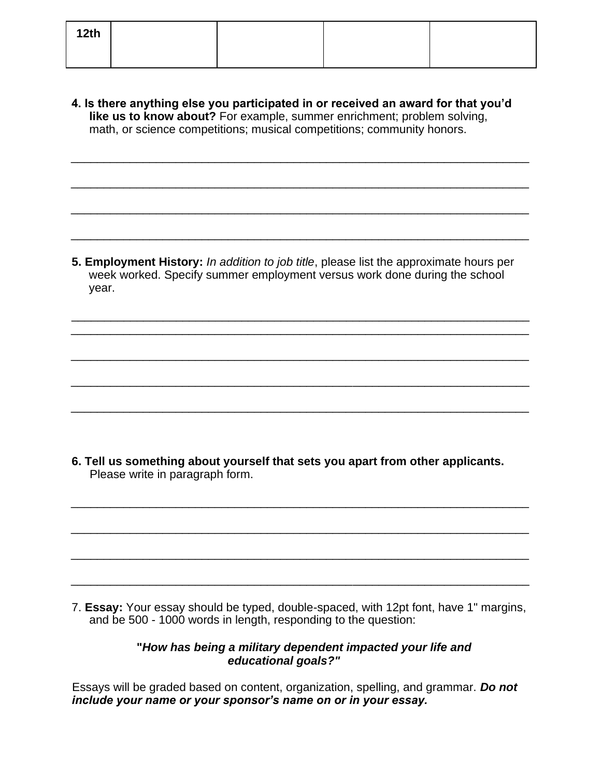| 12th |  |  |
|------|--|--|
|      |  |  |

**4. Is there anything else you participated in or received an award for that you'd**  like us to know about? For example, summer enrichment; problem solving, math, or science competitions; musical competitions; community honors.

\_\_\_\_\_\_\_\_\_\_\_\_\_\_\_\_\_\_\_\_\_\_\_\_\_\_\_\_\_\_\_\_\_\_\_\_\_\_\_\_\_\_\_\_\_\_\_\_\_\_\_\_\_\_\_\_\_\_\_\_\_\_\_\_\_\_\_\_\_\_

\_\_\_\_\_\_\_\_\_\_\_\_\_\_\_\_\_\_\_\_\_\_\_\_\_\_\_\_\_\_\_\_\_\_\_\_\_\_\_\_\_\_\_\_\_\_\_\_\_\_\_\_\_\_\_\_\_\_\_\_\_\_\_\_\_\_\_\_\_\_

\_\_\_\_\_\_\_\_\_\_\_\_\_\_\_\_\_\_\_\_\_\_\_\_\_\_\_\_\_\_\_\_\_\_\_\_\_\_\_\_\_\_\_\_\_\_\_\_\_\_\_\_\_\_\_\_\_\_\_\_\_\_\_\_\_\_\_\_\_\_

\_\_\_\_\_\_\_\_\_\_\_\_\_\_\_\_\_\_\_\_\_\_\_\_\_\_\_\_\_\_\_\_\_\_\_\_\_\_\_\_\_\_\_\_\_\_\_\_\_\_\_\_\_\_\_\_\_\_\_\_\_\_\_\_\_\_\_\_\_\_

**5. Employment History:** *In addition to job title*, please list the approximate hours per week worked. Specify summer employment versus work done during the school year.

\_\_\_\_\_\_\_\_\_\_\_\_\_\_\_\_\_\_\_\_\_\_\_\_\_\_\_\_\_\_\_\_\_\_\_\_\_\_\_\_\_\_\_\_\_\_\_\_\_\_\_\_\_\_\_\_\_\_\_\_\_\_\_\_\_\_\_\_\_\_ \_\_\_\_\_\_\_\_\_\_\_\_\_\_\_\_\_\_\_\_\_\_\_\_\_\_\_\_\_\_\_\_\_\_\_\_\_\_\_\_\_\_\_\_\_\_\_\_\_\_\_\_\_\_\_\_\_\_\_\_\_\_\_\_\_\_\_\_\_\_

\_\_\_\_\_\_\_\_\_\_\_\_\_\_\_\_\_\_\_\_\_\_\_\_\_\_\_\_\_\_\_\_\_\_\_\_\_\_\_\_\_\_\_\_\_\_\_\_\_\_\_\_\_\_\_\_\_\_\_\_\_\_\_\_\_\_\_\_\_\_

\_\_\_\_\_\_\_\_\_\_\_\_\_\_\_\_\_\_\_\_\_\_\_\_\_\_\_\_\_\_\_\_\_\_\_\_\_\_\_\_\_\_\_\_\_\_\_\_\_\_\_\_\_\_\_\_\_\_\_\_\_\_\_\_\_\_\_\_\_\_

\_\_\_\_\_\_\_\_\_\_\_\_\_\_\_\_\_\_\_\_\_\_\_\_\_\_\_\_\_\_\_\_\_\_\_\_\_\_\_\_\_\_\_\_\_\_\_\_\_\_\_\_\_\_\_\_\_\_\_\_\_\_\_\_\_\_\_\_\_\_

\_\_\_\_\_\_\_\_\_\_\_\_\_\_\_\_\_\_\_\_\_\_\_\_\_\_\_\_\_\_\_\_\_\_\_\_\_\_\_\_\_\_\_\_\_\_\_\_\_\_\_\_\_\_\_\_\_\_\_\_\_\_\_\_\_\_\_\_\_\_

\_\_\_\_\_\_\_\_\_\_\_\_\_\_\_\_\_\_\_\_\_\_\_\_\_\_\_\_\_\_\_\_\_\_\_\_\_\_\_\_\_\_\_\_\_\_\_\_\_\_\_\_\_\_\_\_\_\_\_\_\_\_\_\_\_\_\_\_\_\_

\_\_\_\_\_\_\_\_\_\_\_\_\_\_\_\_\_\_\_\_\_\_\_\_\_\_\_\_\_\_\_\_\_\_\_\_\_\_\_\_\_\_\_\_\_\_\_\_\_\_\_\_\_\_\_\_\_\_\_\_\_\_\_\_\_\_\_\_\_\_

\_\_\_\_\_\_\_\_\_\_\_\_\_\_\_\_\_\_\_\_\_\_\_\_\_\_\_\_\_\_\_\_\_\_\_\_\_\_\_\_\_\_\_\_\_\_\_\_\_\_\_\_\_\_\_\_\_\_\_\_\_\_\_\_\_\_\_\_\_\_

**6. Tell us something about yourself that sets you apart from other applicants.**  Please write in paragraph form.

7. **Essay:** Your essay should be typed, double-spaced, with 12pt font, have 1" margins, and be 500 - 1000 words in length, responding to the question:

### **"***How has being a military dependent impacted your life and educational goals?"*

Essays will be graded based on content, organization, spelling, and grammar. *Do not include your name or your sponsor's name on or in your essay.*